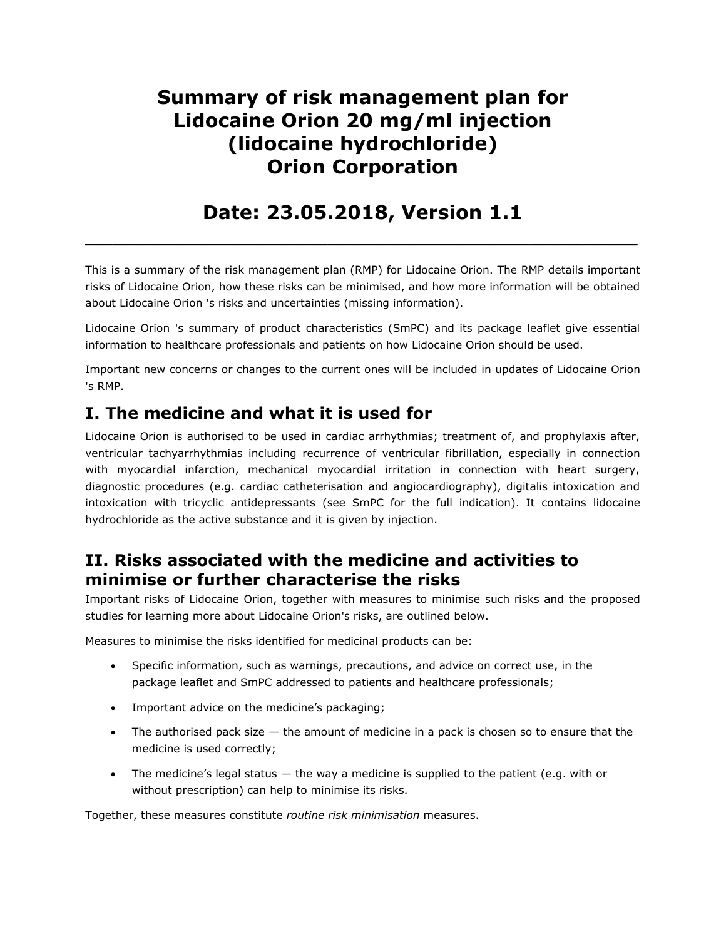# **Summary of risk management plan for Lidocaine Orion 20 mg/ml injection (lidocaine hydrochloride) Orion Corporation**

## **Date: 23.05.2018, Version 1.1 \_\_\_\_\_\_\_\_\_\_\_\_\_\_\_\_\_\_\_\_\_\_\_\_\_\_\_\_\_\_\_\_\_\_\_\_\_\_\_\_\_**

This is a summary of the risk management plan (RMP) for Lidocaine Orion. The RMP details important risks of Lidocaine Orion, how these risks can be minimised, and how more information will be obtained about Lidocaine Orion 's risks and uncertainties (missing information).

Lidocaine Orion 's summary of product characteristics (SmPC) and its package leaflet give essential information to healthcare professionals and patients on how Lidocaine Orion should be used.

Important new concerns or changes to the current ones will be included in updates of Lidocaine Orion 's RMP.

## **I. The medicine and what it is used for**

Lidocaine Orion is authorised to be used in cardiac arrhythmias; treatment of, and prophylaxis after, ventricular tachyarrhythmias including recurrence of ventricular fibrillation, especially in connection with myocardial infarction, mechanical myocardial irritation in connection with heart surgery, diagnostic procedures (e.g. cardiac catheterisation and angiocardiography), digitalis intoxication and intoxication with tricyclic antidepressants (see SmPC for the full indication). It contains lidocaine hydrochloride as the active substance and it is given by injection.

### **II. Risks associated with the medicine and activities to minimise or further characterise the risks**

Important risks of Lidocaine Orion, together with measures to minimise such risks and the proposed studies for learning more about Lidocaine Orion's risks, are outlined below.

Measures to minimise the risks identified for medicinal products can be:

- Specific information, such as warnings, precautions, and advice on correct use, in the package leaflet and SmPC addressed to patients and healthcare professionals;
- Important advice on the medicine's packaging;
- The authorised pack size the amount of medicine in a pack is chosen so to ensure that the medicine is used correctly;
- The medicine's legal status the way a medicine is supplied to the patient (e.g. with or without prescription) can help to minimise its risks.

Together, these measures constitute *routine risk minimisation* measures.